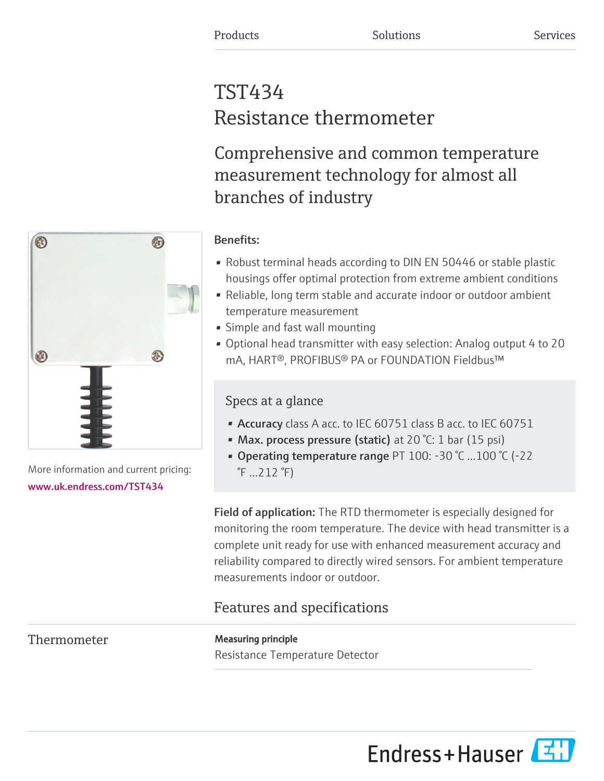# TST434 Resistance thermometer

Comprehensive and common temperature measurement technology for almost all branches of industry

# Benefits:

- Robust terminal heads according to DIN EN 50446 or stable plastic housings offer optimal protection from extreme ambient conditions
- Reliable, long term stable and accurate indoor or outdoor ambient temperature measurement
- Simple and fast wall mounting
- Optional head transmitter with easy selection: Analog output 4 to 20 mA, HART®, PROFIBUS® PA or FOUNDATION Fieldbus™

## Specs at a glance

- Accuracy class A acc. to IEC 60751 class B acc. to IEC 60751
- Max. process pressure (static) at 20 °C: 1 bar (15 psi)
- Operating temperature range PT 100: -30 °C ...100 °C (-22 °F ...212 °F)

Field of application: The RTD thermometer is especially designed for monitoring the room temperature. The device with head transmitter is a complete unit ready for use with enhanced measurement accuracy and reliability compared to directly wired sensors. For ambient temperature measurements indoor or outdoor.

## Features and specifications

Thermometer **Measuring principle** Resistance Temperature Detector





More information and current pricing: [www.uk.endress.com/TST434](https://www.uk.endress.com/TST434)